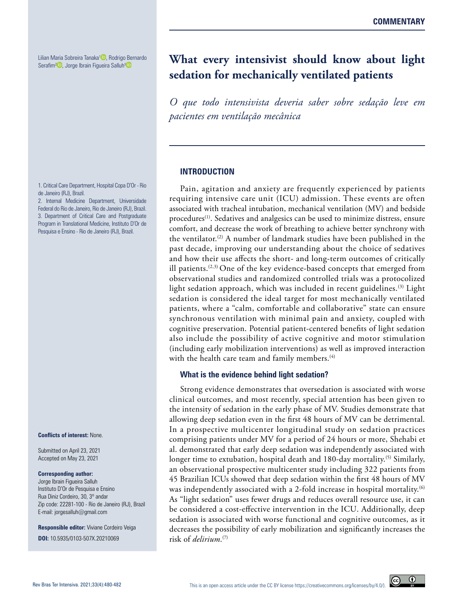Lilian Maria Sobreira Tanaka<sup>1</sup> [,](https://orcid.org/0000-0002-4678-5558) Rodrigo Bernardo Serafim<sup>2</sup><sup>D</sup>[,](https://orcid.org/0000-0001-8198-7035) Jorge Ibrain Figueira Salluh<sup>[3](https://orcid.org/0000-0002-8164-1453)</sup><sup>D</sup>

1. Critical Care Department, Hospital Copa D'Or - Rio de Janeiro (RJ), Brazil.

2. Internal Medicine Department, Universidade Federal do Rio de Janeiro, Rio de Janeiro (RJ), Brazil. 3. Department of Critical Care and Postgraduate Program in Translational Medicine, Instituto D'Or de Pesquisa e Ensino - Rio de Janeiro (RJ), Brazil.

#### **Conflicts of interest:** None.

Submitted on April 23, 2021 Accepted on May 23, 2021

#### **Corresponding author:**

Jorge Ibrain Figueira Salluh Instituto D'Or de Pesquisa e Ensino Rua Diniz Cordeiro, 30, 3º andar Zip code: 22281-100 - Rio de Janeiro (RJ), Brazil E-mail: jorgesalluh@gmail.com

**Responsible editor:** Viviane Cordeiro Veiga **DOI:** 10.5935/0103-507X.20210069

# **What every intensivist should know about light sedation for mechanically ventilated patients**

*O que todo intensivista deveria saber sobre sedação leve em pacientes em ventilação mecânica*

#### **INTRODUCTION**

Pain, agitation and anxiety are frequently experienced by patients requiring intensive care unit (ICU) admission. These events are often associated with tracheal intubation, mechanical ventilation (MV) and bedside procedures<sup>(1)</sup>. Sedatives and analgesics can be used to minimize distress, ensure comfort, and decrease the work of breathing to achieve better synchrony with the ventilator.(2) A number of landmark studies have been published in the past decade, improving our understanding about the choice of sedatives and how their use affects the short- and long-term outcomes of critically ill patients.<sup> $(2,3)$ </sup> One of the key evidence-based concepts that emerged from observational studies and randomized controlled trials was a protocolized light sedation approach, which was included in recent guidelines.<sup>(3)</sup> Light sedation is considered the ideal target for most mechanically ventilated patients, where a "calm, comfortable and collaborative" state can ensure synchronous ventilation with minimal pain and anxiety, coupled with cognitive preservation. Potential patient-centered benefits of light sedation also include the possibility of active cognitive and motor stimulation (including early mobilization interventions) as well as improved interaction with the health care team and family members.<sup>(4)</sup>

#### **What is the evidence behind light sedation?**

Strong evidence demonstrates that oversedation is associated with worse clinical outcomes, and most recently, special attention has been given to the intensity of sedation in the early phase of MV. Studies demonstrate that allowing deep sedation even in the first 48 hours of MV can be detrimental. In a prospective multicenter longitudinal study on sedation practices comprising patients under MV for a period of 24 hours or more, Shehabi et al. demonstrated that early deep sedation was independently associated with longer time to extubation, hospital death and 180-day mortality.<sup>(5)</sup> Similarly, an observational prospective multicenter study including 322 patients from 45 Brazilian ICUs showed that deep sedation within the first 48 hours of MV was independently associated with a 2-fold increase in hospital mortality.<sup>(6)</sup> As "light sedation" uses fewer drugs and reduces overall resource use, it can be considered a cost-effective intervention in the ICU. Additionally, deep sedation is associated with worse functional and cognitive outcomes, as it decreases the possibility of early mobilization and significantly increases the risk of *delirium*. (7)

 $\odot$ 

 $\odot$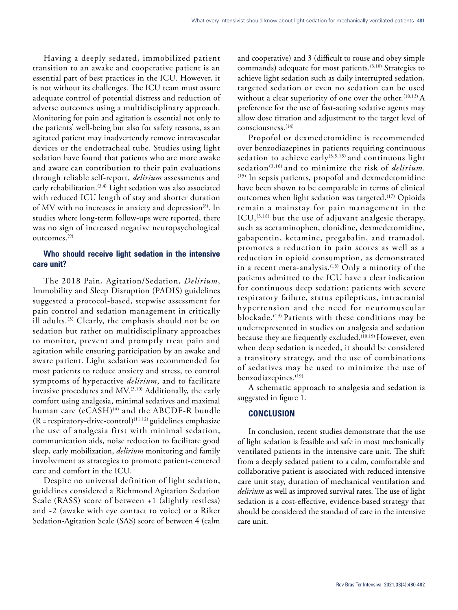Having a deeply sedated, immobilized patient transition to an awake and cooperative patient is an essential part of best practices in the ICU. However, it is not without its challenges. The ICU team must assure adequate control of potential distress and reduction of adverse outcomes using a multidisciplinary approach. Monitoring for pain and agitation is essential not only to the patients' well-being but also for safety reasons, as an agitated patient may inadvertently remove intravascular devices or the endotracheal tube. Studies using light sedation have found that patients who are more awake and aware can contribution to their pain evaluations through reliable self-report, *delirium* assessments and early rehabilitation.<sup>(3,4)</sup> Light sedation was also associated with reduced ICU length of stay and shorter duration of MV with no increases in anxiety and depression<sup>(8)</sup>. In studies where long-term follow-ups were reported, there was no sign of increased negative neuropsychological outcomes.(9)

## **Who should receive light sedation in the intensive care unit?**

The 2018 Pain, Agitation/Sedation, *Delirium*, Immobility and Sleep Disruption (PADIS) guidelines suggested a protocol-based, stepwise assessment for pain control and sedation management in critically ill adults.(3) Clearly, the emphasis should not be on sedation but rather on multidisciplinary approaches to monitor, prevent and promptly treat pain and agitation while ensuring participation by an awake and aware patient. Light sedation was recommended for most patients to reduce anxiety and stress, to control symptoms of hyperactive *delirium*, and to facilitate invasive procedures and  $MV<sub>.</sub>$ <sup>(3,10)</sup> Additionally, the early comfort using analgesia, minimal sedatives and maximal human care (eCASH)<sup>(4)</sup> and the ABCDF-R bundle  $(R = respectively-drive-control)^{(11,12)}$  guidelines emphasize the use of analgesia first with minimal sedation, communication aids, noise reduction to facilitate good sleep, early mobilization, *delirium* monitoring and family involvement as strategies to promote patient-centered care and comfort in the ICU.

Despite no universal definition of light sedation, guidelines considered a Richmond Agitation Sedation Scale (RASS) score of between +1 (slightly restless) and -2 (awake with eye contact to voice) or a Riker Sedation-Agitation Scale (SAS) score of between 4 (calm

and cooperative) and 3 (difficult to rouse and obey simple commands) adequate for most patients.(3,10) Strategies to achieve light sedation such as daily interrupted sedation, targeted sedation or even no sedation can be used without a clear superiority of one over the other.<sup>(10,13)</sup> A preference for the use of fast-acting sedative agents may allow dose titration and adjustment to the target level of consciousness.(14)

Propofol or dexmedetomidine is recommended over benzodiazepines in patients requiring continuous sedation to achieve early<sup>(3,5,15)</sup> and continuous light sedation(3,16) and to minimize the risk of *delirium*. (15) In sepsis patients, propofol and dexmedetomidine have been shown to be comparable in terms of clinical outcomes when light sedation was targeted.<sup>(17)</sup> Opioids remain a mainstay for pain management in the ICU, $(3,18)$  but the use of adjuvant analgesic therapy, such as acetaminophen, clonidine, dexmedetomidine, gabapentin, ketamine, pregabalin, and tramadol, promotes a reduction in pain scores as well as a reduction in opioid consumption, as demonstrated in a recent meta-analysis.<sup> $(18)$ </sup> Only a minority of the patients admitted to the ICU have a clear indication for continuous deep sedation: patients with severe respiratory failure, status epilepticus, intracranial hypertension and the need for neuromuscular blockade.(19) Patients with these conditions may be underrepresented in studies on analgesia and sedation because they are frequently excluded.<sup>(10,19)</sup> However, even when deep sedation is needed, it should be considered a transitory strategy, and the use of combinations of sedatives may be used to minimize the use of benzodiazepines.<sup>(19)</sup>

A schematic approach to analgesia and sedation is suggested in figure 1.

### **CONCLUSION**

In conclusion, recent studies demonstrate that the use of light sedation is feasible and safe in most mechanically ventilated patients in the intensive care unit. The shift from a deeply sedated patient to a calm, comfortable and collaborative patient is associated with reduced intensive care unit stay, duration of mechanical ventilation and *delirium* as well as improved survival rates. The use of light sedation is a cost-effective, evidence-based strategy that should be considered the standard of care in the intensive care unit.